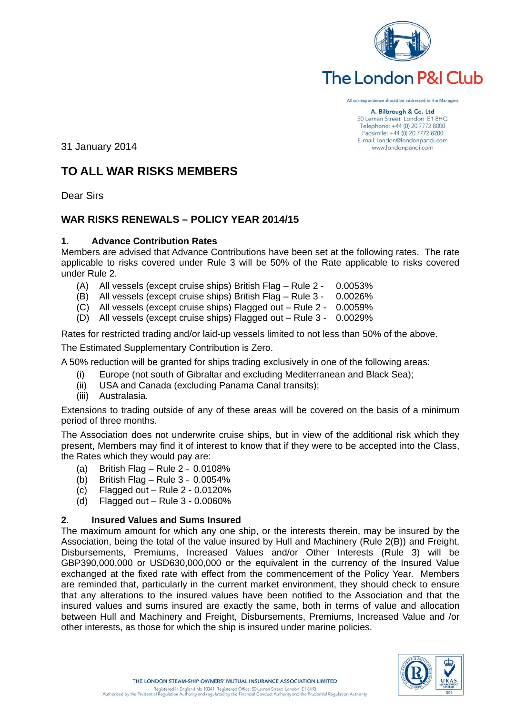

# The London P&I Club

All correspondence should be addressed to the Managers

A. Bilbrough & Co. Ltd 50 Leman Street London E1 8HQ Telephone: +44 (0) 20 7772 8000 Facsimile: +44 (0) 20 7772 8200 E-mail: london@londonpandi.com www.londonpandi.com

31 January 2014

# **TO ALL WAR RISKS MEMBERS**

Dear Sirs

# **WAR RISKS RENEWALS – POLICY YEAR 2014/15**

# **1. Advance Contribution Rates**

Members are advised that Advance Contributions have been set at the following rates. The rate applicable to risks covered under Rule 3 will be 50% of the Rate applicable to risks covered under Rule 2.

- (A) All vessels (except cruise ships) British Flag Rule 2 0.0053%
- (B) All vessels (except cruise ships) British Flag Rule 3 0.0026%
- (C) All vessels (except cruise ships) Flagged out Rule 2 0.0059%
- (D) All vessels (except cruise ships) Flagged out Rule 3 0.0029%

Rates for restricted trading and/or laid-up vessels limited to not less than 50% of the above.

The Estimated Supplementary Contribution is Zero.

A 50% reduction will be granted for ships trading exclusively in one of the following areas:

- (i) Europe (not south of Gibraltar and excluding Mediterranean and Black Sea);
- (ii) USA and Canada (excluding Panama Canal transits);
- (iii) Australasia.

Extensions to trading outside of any of these areas will be covered on the basis of a minimum period of three months.

The Association does not underwrite cruise ships, but in view of the additional risk which they present, Members may find it of interest to know that if they were to be accepted into the Class, the Rates which they would pay are:

- (a) British Flag Rule 2 0.0108%
- (b) British Flag Rule 3 0.0054%
- (c) Flagged out Rule 2 0.0120%
- (d) Flagged out Rule 3 0.0060%

# **2. Insured Values and Sums Insured**

The maximum amount for which any one ship, or the interests therein, may be insured by the Association, being the total of the value insured by Hull and Machinery (Rule 2(B)) and Freight, Disbursements, Premiums, Increased Values and/or Other Interests (Rule 3) will be GBP390,000,000 or USD630,000,000 or the equivalent in the currency of the Insured Value exchanged at the fixed rate with effect from the commencement of the Policy Year. Members are reminded that, particularly in the current market environment, they should check to ensure that any alterations to the insured values have been notified to the Association and that the insured values and sums insured are exactly the same, both in terms of value and allocation between Hull and Machinery and Freight, Disbursements, Premiums, Increased Value and /or other interests, as those for which the ship is insured under marine policies.

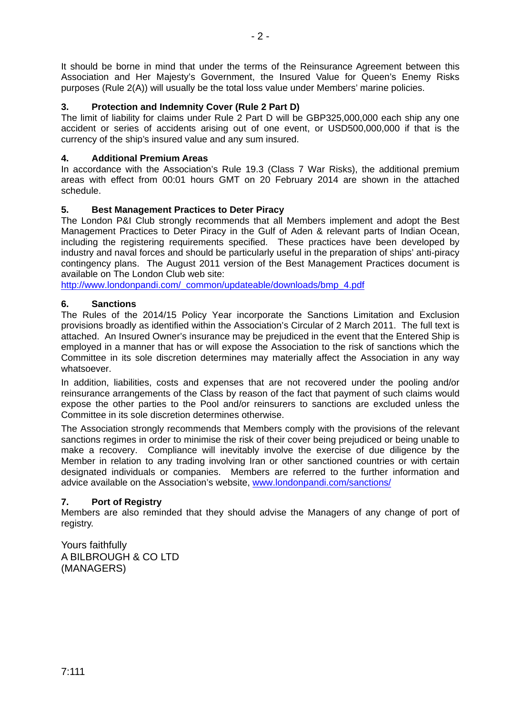It should be borne in mind that under the terms of the Reinsurance Agreement between this Association and Her Majesty's Government, the Insured Value for Queen's Enemy Risks purposes (Rule 2(A)) will usually be the total loss value under Members' marine policies.

# **3. Protection and Indemnity Cover (Rule 2 Part D)**

The limit of liability for claims under Rule 2 Part D will be GBP325,000,000 each ship any one accident or series of accidents arising out of one event, or USD500,000,000 if that is the currency of the ship's insured value and any sum insured.

# **4. Additional Premium Areas**

In accordance with the Association's Rule 19.3 (Class 7 War Risks), the additional premium areas with effect from 00:01 hours GMT on 20 February 2014 are shown in the attached schedule.

# **5. Best Management Practices to Deter Piracy**

The London P&I Club strongly recommends that all Members implement and adopt the Best Management Practices to Deter Piracy in the Gulf of Aden & relevant parts of Indian Ocean, including the registering requirements specified. These practices have been developed by industry and naval forces and should be particularly useful in the preparation of ships' anti-piracy contingency plans. The August 2011 version of the Best Management Practices document is available on The London Club web site:

[http://www.londonpandi.com/\\_common/updateable/downloads/bmp\\_4.pdf](http://www.londonpandi.com/_common/updateable/downloads/bmp_4.pdf)

# **6. Sanctions**

The Rules of the 2014/15 Policy Year incorporate the Sanctions Limitation and Exclusion provisions broadly as identified within the Association's Circular of 2 March 2011. The full text is attached. An Insured Owner's insurance may be prejudiced in the event that the Entered Ship is employed in a manner that has or will expose the Association to the risk of sanctions which the Committee in its sole discretion determines may materially affect the Association in any way whatsoever.

In addition, liabilities, costs and expenses that are not recovered under the pooling and/or reinsurance arrangements of the Class by reason of the fact that payment of such claims would expose the other parties to the Pool and/or reinsurers to sanctions are excluded unless the Committee in its sole discretion determines otherwise.

The Association strongly recommends that Members comply with the provisions of the relevant sanctions regimes in order to minimise the risk of their cover being prejudiced or being unable to make a recovery. Compliance will inevitably involve the exercise of due diligence by the Member in relation to any trading involving Iran or other sanctioned countries or with certain designated individuals or companies. Members are referred to the further information and advice available on the Association's website, [www.londonpandi.com/sanctions/](http://www.londonpandi.com/sanctions/)

# **7. Port of Registry**

Members are also reminded that they should advise the Managers of any change of port of registry.

Yours faithfully A BILBROUGH & CO LTD (MANAGERS)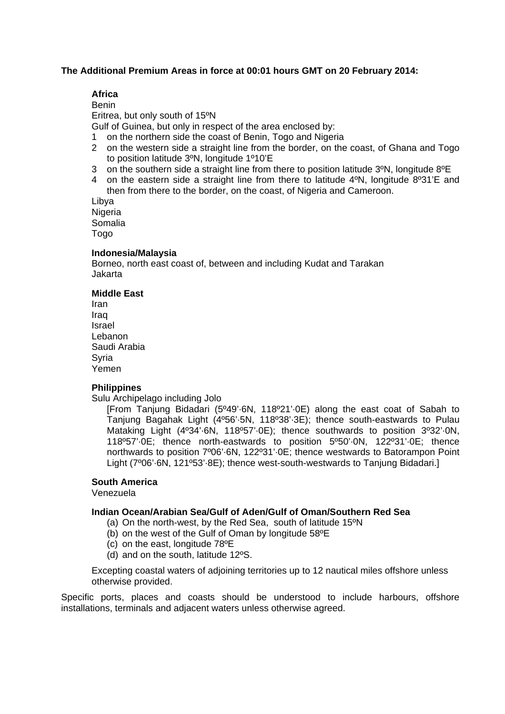#### **The Additional Premium Areas in force at 00:01 hours GMT on 20 February 2014:**

# **Africa**

Benin Eritrea, but only south of 15ºN Gulf of Guinea, but only in respect of the area enclosed by:

1 on the northern side the coast of Benin, Togo and Nigeria

- 2 on the western side a straight line from the border, on the coast, of Ghana and Togo to position latitude 3ºN, longitude 1º10'E
- 3 on the southern side a straight line from there to position latitude 3ºN, longitude 8ºE
- 4 on the eastern side a straight line from there to latitude 4ºN, longitude 8º31'E and then from there to the border, on the coast, of Nigeria and Cameroon.

Libya Nigeria Somalia Togo

#### **Indonesia/Malaysia**

Borneo, north east coast of, between and including Kudat and Tarakan Jakarta

#### **Middle East**

Iran Iraq Israel Lebanon Saudi Arabia **Syria** Yemen

#### **Philippines**

Sulu Archipelago including Jolo

[From Tanjung Bidadari (5º49'·6N, 118º21'·0E) along the east coat of Sabah to Tanjung Bagahak Light (4º56'·5N, 118º38'·3E); thence south-eastwards to Pulau Mataking Light (4º34'·6N, 118º57'·0E); thence southwards to position 3º32'·0N, 118º57'·0E; thence north-eastwards to position 5º50'·0N, 122º31'·0E; thence northwards to position 7º06'·6N, 122º31'·0E; thence westwards to Batorampon Point Light (7º06'·6N, 121º53'·8E); thence west-south-westwards to Tanjung Bidadari.]

# **South America**

Venezuela

#### **Indian Ocean/Arabian Sea/Gulf of Aden/Gulf of Oman/Southern Red Sea**

- (a) On the north-west, by the Red Sea, south of latitude 15ºN
- (b) on the west of the Gulf of Oman by longitude 58ºE
- (c) on the east, longitude 78ºE
- (d) and on the south, latitude 12ºS.

Excepting coastal waters of adjoining territories up to 12 nautical miles offshore unless otherwise provided.

Specific ports, places and coasts should be understood to include harbours, offshore installations, terminals and adjacent waters unless otherwise agreed.